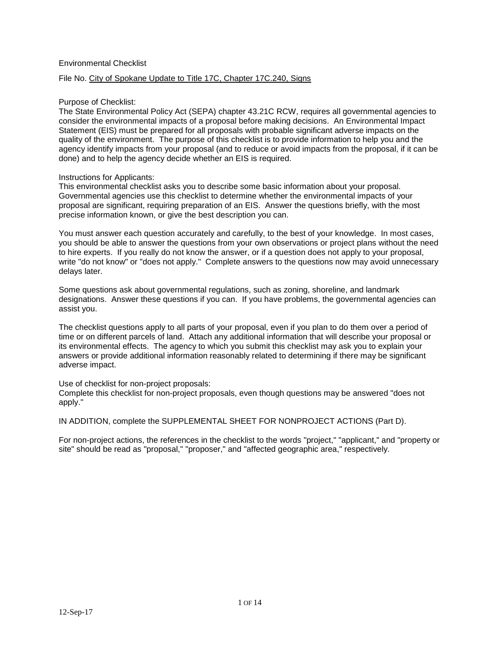## Environmental Checklist

### File No. City of Spokane Update to Title 17C, Chapter 17C.240, Signs

### Purpose of Checklist:

The State Environmental Policy Act (SEPA) chapter 43.21C RCW, requires all governmental agencies to consider the environmental impacts of a proposal before making decisions. An Environmental Impact Statement (EIS) must be prepared for all proposals with probable significant adverse impacts on the quality of the environment. The purpose of this checklist is to provide information to help you and the agency identify impacts from your proposal (and to reduce or avoid impacts from the proposal, if it can be done) and to help the agency decide whether an EIS is required.

### Instructions for Applicants:

This environmental checklist asks you to describe some basic information about your proposal. Governmental agencies use this checklist to determine whether the environmental impacts of your proposal are significant, requiring preparation of an EIS. Answer the questions briefly, with the most precise information known, or give the best description you can.

You must answer each question accurately and carefully, to the best of your knowledge. In most cases, you should be able to answer the questions from your own observations or project plans without the need to hire experts. If you really do not know the answer, or if a question does not apply to your proposal, write "do not know" or "does not apply." Complete answers to the questions now may avoid unnecessary delays later.

Some questions ask about governmental regulations, such as zoning, shoreline, and landmark designations. Answer these questions if you can. If you have problems, the governmental agencies can assist you.

The checklist questions apply to all parts of your proposal, even if you plan to do them over a period of time or on different parcels of land. Attach any additional information that will describe your proposal or its environmental effects. The agency to which you submit this checklist may ask you to explain your answers or provide additional information reasonably related to determining if there may be significant adverse impact.

Use of checklist for non-project proposals:

Complete this checklist for non-project proposals, even though questions may be answered "does not apply."

IN ADDITION, complete the SUPPLEMENTAL SHEET FOR NONPROJECT ACTIONS (Part D).

For non-project actions, the references in the checklist to the words "project," "applicant," and "property or site" should be read as "proposal," "proposer," and "affected geographic area," respectively.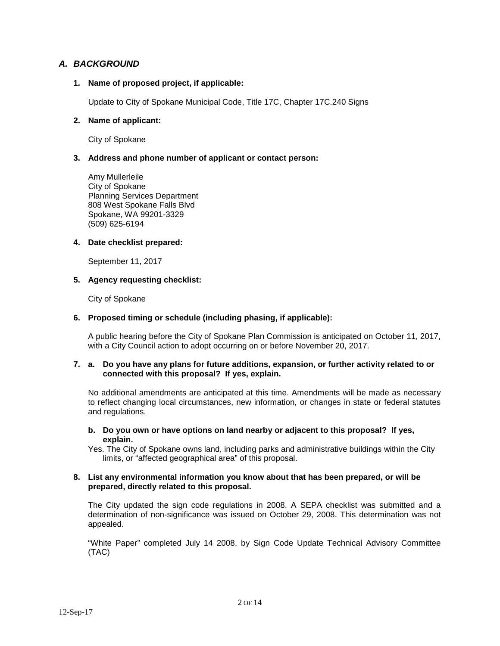# *A. BACKGROUND*

## **1. Name of proposed project, if applicable:**

Update to City of Spokane Municipal Code, Title 17C, Chapter 17C.240 Signs

## **2. Name of applicant:**

City of Spokane

## **3. Address and phone number of applicant or contact person:**

Amy Mullerleile City of Spokane Planning Services Department 808 West Spokane Falls Blvd Spokane, WA 99201-3329 (509) 625-6194

### **4. Date checklist prepared:**

September 11, 2017

## **5. Agency requesting checklist:**

City of Spokane

## **6. Proposed timing or schedule (including phasing, if applicable):**

A public hearing before the City of Spokane Plan Commission is anticipated on October 11, 2017, with a City Council action to adopt occurring on or before November 20, 2017.

### **7. a. Do you have any plans for future additions, expansion, or further activity related to or connected with this proposal? If yes, explain.**

No additional amendments are anticipated at this time. Amendments will be made as necessary to reflect changing local circumstances, new information, or changes in state or federal statutes and regulations.

#### **b. Do you own or have options on land nearby or adjacent to this proposal? If yes, explain.**

Yes. The City of Spokane owns land, including parks and administrative buildings within the City limits, or "affected geographical area" of this proposal.

### **8. List any environmental information you know about that has been prepared, or will be prepared, directly related to this proposal.**

The City updated the sign code regulations in 2008. A SEPA checklist was submitted and a determination of non-significance was issued on October 29, 2008. This determination was not appealed.

"White Paper" completed July 14 2008, by Sign Code Update Technical Advisory Committee (TAC)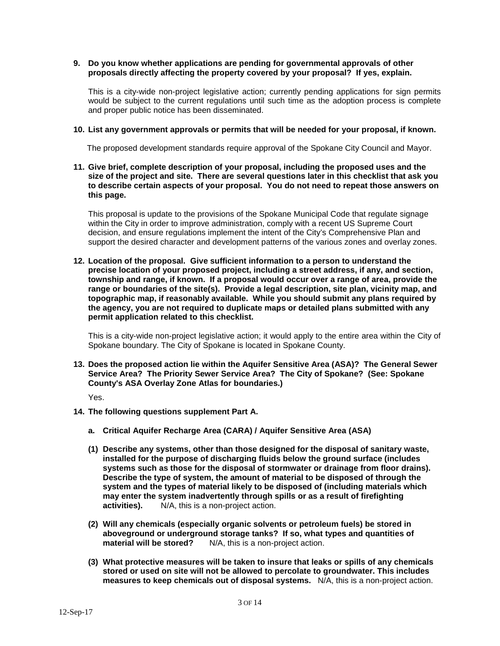### **9. Do you know whether applications are pending for governmental approvals of other proposals directly affecting the property covered by your proposal? If yes, explain.**

This is a city-wide non-project legislative action; currently pending applications for sign permits would be subject to the current regulations until such time as the adoption process is complete and proper public notice has been disseminated.

### **10. List any government approvals or permits that will be needed for your proposal, if known.**

The proposed development standards require approval of the Spokane City Council and Mayor.

### **11. Give brief, complete description of your proposal, including the proposed uses and the size of the project and site. There are several questions later in this checklist that ask you to describe certain aspects of your proposal. You do not need to repeat those answers on this page.**

This proposal is update to the provisions of the Spokane Municipal Code that regulate signage within the City in order to improve administration, comply with a recent US Supreme Court decision, and ensure regulations implement the intent of the City's Comprehensive Plan and support the desired character and development patterns of the various zones and overlay zones.

**12. Location of the proposal. Give sufficient information to a person to understand the precise location of your proposed project, including a street address, if any, and section, township and range, if known. If a proposal would occur over a range of area, provide the range or boundaries of the site(s). Provide a legal description, site plan, vicinity map, and topographic map, if reasonably available. While you should submit any plans required by the agency, you are not required to duplicate maps or detailed plans submitted with any permit application related to this checklist.** 

This is a city-wide non-project legislative action; it would apply to the entire area within the City of Spokane boundary. The City of Spokane is located in Spokane County.

**13. Does the proposed action lie within the Aquifer Sensitive Area (ASA)? The General Sewer Service Area? The Priority Sewer Service Area? The City of Spokane? (See: Spokane County's ASA Overlay Zone Atlas for boundaries.)** 

Yes.

- **14. The following questions supplement Part A.** 
	- **a. Critical Aquifer Recharge Area (CARA) / Aquifer Sensitive Area (ASA)**
	- **(1) Describe any systems, other than those designed for the disposal of sanitary waste, installed for the purpose of discharging fluids below the ground surface (includes systems such as those for the disposal of stormwater or drainage from floor drains). Describe the type of system, the amount of material to be disposed of through the system and the types of material likely to be disposed of (including materials which may enter the system inadvertently through spills or as a result of firefighting activities).** N/A, this is a non-project action.
	- **(2) Will any chemicals (especially organic solvents or petroleum fuels) be stored in aboveground or underground storage tanks? If so, what types and quantities of**  N/A, this is a non-project action.
	- **(3) What protective measures will be taken to insure that leaks or spills of any chemicals stored or used on site will not be allowed to percolate to groundwater. This includes measures to keep chemicals out of disposal systems.** N/A, this is a non-project action.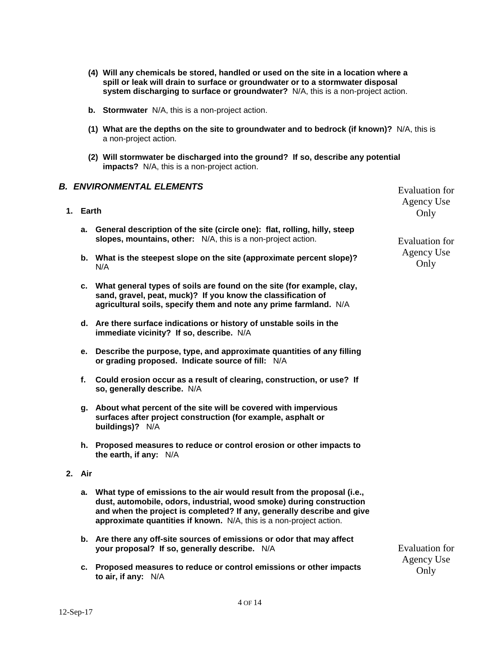- **(4) Will any chemicals be stored, handled or used on the site in a location where a spill or leak will drain to surface or groundwater or to a stormwater disposal system discharging to surface or groundwater?** N/A, this is a non-project action.
- **b. Stormwater** N/A, this is a non-project action.
- **(1) What are the depths on the site to groundwater and to bedrock (if known)?** N/A, this is a non-project action.
- **(2) Will stormwater be discharged into the ground? If so, describe any potential impacts?** N/A, this is a non-project action.

| <b>B. ENVIRONMENTAL ELEMENTS</b><br>1. Earth | <b>Evaluation</b> for<br>Agency Use<br>Only                                                                                                                                                                                                                                                         |                                     |
|----------------------------------------------|-----------------------------------------------------------------------------------------------------------------------------------------------------------------------------------------------------------------------------------------------------------------------------------------------------|-------------------------------------|
|                                              |                                                                                                                                                                                                                                                                                                     |                                     |
|                                              | a. General description of the site (circle one): flat, rolling, hilly, steep<br>slopes, mountains, other: N/A, this is a non-project action.                                                                                                                                                        | <b>Evaluation</b> for               |
|                                              | b. What is the steepest slope on the site (approximate percent slope)?<br>N/A                                                                                                                                                                                                                       | Agency Use<br>Only                  |
|                                              | c. What general types of soils are found on the site (for example, clay,<br>sand, gravel, peat, muck)? If you know the classification of<br>agricultural soils, specify them and note any prime farmland. N/A                                                                                       |                                     |
|                                              | d. Are there surface indications or history of unstable soils in the<br>immediate vicinity? If so, describe. N/A                                                                                                                                                                                    |                                     |
|                                              | e. Describe the purpose, type, and approximate quantities of any filling<br>or grading proposed. Indicate source of fill: N/A                                                                                                                                                                       |                                     |
|                                              | f. Could erosion occur as a result of clearing, construction, or use? If<br>so, generally describe. N/A                                                                                                                                                                                             |                                     |
|                                              | g. About what percent of the site will be covered with impervious<br>surfaces after project construction (for example, asphalt or<br>buildings)? N/A                                                                                                                                                |                                     |
|                                              | h. Proposed measures to reduce or control erosion or other impacts to<br>the earth, if any: N/A                                                                                                                                                                                                     |                                     |
| 2. Air                                       |                                                                                                                                                                                                                                                                                                     |                                     |
|                                              | a. What type of emissions to the air would result from the proposal (i.e.,<br>dust, automobile, odors, industrial, wood smoke) during construction<br>and when the project is completed? If any, generally describe and give<br>approximate quantities if known. N/A, this is a non-project action. |                                     |
|                                              | b. Are there any off-site sources of emissions or odor that may affect<br>your proposal? If so, generally describe. N/A                                                                                                                                                                             | <b>Evaluation</b> for<br>Agency Use |

**c. Proposed measures to reduce or control emissions or other impacts to air, if any:** N/A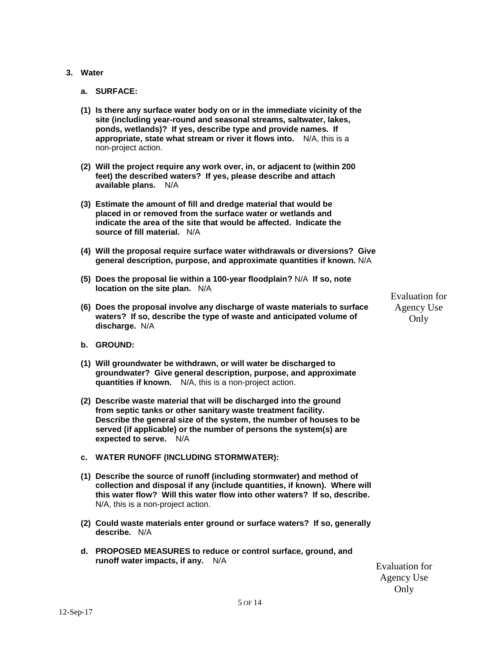# **3. Water**

- **a. SURFACE:**
- **(1) Is there any surface water body on or in the immediate vicinity of the site (including year-round and seasonal streams, saltwater, lakes, ponds, wetlands)? If yes, describe type and provide names. If appropriate, state what stream or river it flows into.** N/A, this is a non-project action.
- **(2) Will the project require any work over, in, or adjacent to (within 200 feet) the described waters? If yes, please describe and attach available plans.** N/A
- **(3) Estimate the amount of fill and dredge material that would be placed in or removed from the surface water or wetlands and indicate the area of the site that would be affected. Indicate the source of fill material.** N/A
- **(4) Will the proposal require surface water withdrawals or diversions? Give general description, purpose, and approximate quantities if known.** N/A
- **(5) Does the proposal lie within a 100-year floodplain?** N/A **If so, note location on the site plan.** N/A
- **(6) Does the proposal involve any discharge of waste materials to surface waters? If so, describe the type of waste and anticipated volume of discharge.** N/A

Evaluation for Agency Use Only

- **b. GROUND:**
- **(1) Will groundwater be withdrawn, or will water be discharged to groundwater? Give general description, purpose, and approximate quantities if known.** N/A, this is a non-project action.
- **(2) Describe waste material that will be discharged into the ground from septic tanks or other sanitary waste treatment facility. Describe the general size of the system, the number of houses to be served (if applicable) or the number of persons the system(s) are expected to serve.** N/A
- **c. WATER RUNOFF (INCLUDING STORMWATER):**
- **(1) Describe the source of runoff (including stormwater) and method of collection and disposal if any (include quantities, if known). Where will this water flow? Will this water flow into other waters? If so, describe.**  N/A, this is a non-project action.
- **(2) Could waste materials enter ground or surface waters? If so, generally describe.** N/A
- **d. PROPOSED MEASURES to reduce or control surface, ground, and runoff water impacts, if any.** N/A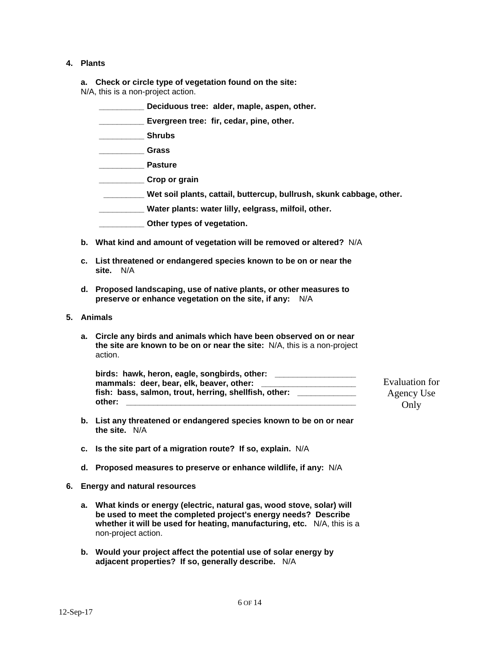### **4. Plants**

**a. Check or circle type of vegetation found on the site:** 

N/A, this is a non-project action.

- **\_\_\_\_\_\_\_\_\_\_ Deciduous tree: alder, maple, aspen, other.**
- **\_\_\_\_\_\_\_\_\_\_ Evergreen tree: fir, cedar, pine, other.**
- **\_\_\_\_\_\_\_\_\_\_ Shrubs**

**\_\_\_\_\_\_\_\_\_\_ Grass**

**\_\_\_\_\_\_\_\_\_\_ Pasture**

**\_\_\_\_\_\_\_\_\_\_ Crop or grain**

**\_\_\_\_\_\_\_\_\_ Wet soil plants, cattail, buttercup, bullrush, skunk cabbage, other.**

**\_\_\_\_\_\_\_\_\_\_ Water plants: water lilly, eelgrass, milfoil, other.**

**\_\_\_\_\_\_\_\_\_\_ Other types of vegetation.**

- **b. What kind and amount of vegetation will be removed or altered?** N/A
- **c. List threatened or endangered species known to be on or near the site.** N/A
- **d. Proposed landscaping, use of native plants, or other measures to preserve or enhance vegetation on the site, if any:** N/A
- **5. Animals**
	- **a. Circle any birds and animals which have been observed on or near the site are known to be on or near the site:** N/A, this is a non-project action.

| birds: hawk, heron, eagle, songbirds, other:          |                |
|-------------------------------------------------------|----------------|
| mammals: deer, bear, elk, beaver, other:              | Evaluation for |
| fish: bass, salmon, trout, herring, shellfish, other: | Agency Use     |
| other:                                                | Only           |

- **b. List any threatened or endangered species known to be on or near the site.** N/A
- **c. Is the site part of a migration route? If so, explain.** N/A
- **d. Proposed measures to preserve or enhance wildlife, if any:** N/A
- **6. Energy and natural resources**
	- **a. What kinds or energy (electric, natural gas, wood stove, solar) will be used to meet the completed project's energy needs? Describe whether it will be used for heating, manufacturing, etc.** N/A, this is a non-project action.
	- **b. Would your project affect the potential use of solar energy by adjacent properties? If so, generally describe.** N/A

Only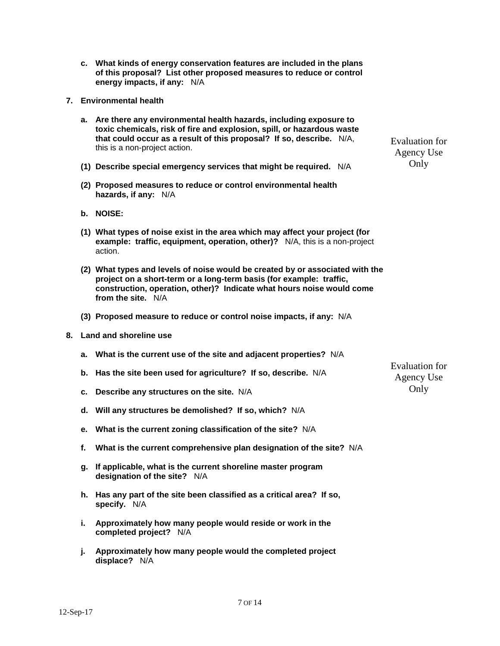- **c. What kinds of energy conservation features are included in the plans of this proposal? List other proposed measures to reduce or control energy impacts, if any:** N/A
- **7. Environmental health**
	- **a. Are there any environmental health hazards, including exposure to toxic chemicals, risk of fire and explosion, spill, or hazardous waste that could occur as a result of this proposal? If so, describe.** N/A, this is a non-project action.
	- **(1) Describe special emergency services that might be required.** N/A
	- **(2) Proposed measures to reduce or control environmental health hazards, if any:** N/A
	- **b. NOISE:**
	- **(1) What types of noise exist in the area which may affect your project (for example: traffic, equipment, operation, other)?** N/A, this is a non-project action.
	- **(2) What types and levels of noise would be created by or associated with the project on a short-term or a long-term basis (for example: traffic, construction, operation, other)? Indicate what hours noise would come from the site.** N/A
	- **(3) Proposed measure to reduce or control noise impacts, if any:** N/A
- **8. Land and shoreline use**
	- **a. What is the current use of the site and adjacent properties?** N/A
	- **b. Has the site been used for agriculture? If so, describe.** N/A
	- **c. Describe any structures on the site.** N/A
	- **d. Will any structures be demolished? If so, which?** N/A
	- **e. What is the current zoning classification of the site?** N/A
	- **f. What is the current comprehensive plan designation of the site?** N/A
	- **g. If applicable, what is the current shoreline master program designation of the site?** N/A
	- **h. Has any part of the site been classified as a critical area? If so, specify.** N/A
	- **i. Approximately how many people would reside or work in the completed project?** N/A
	- **j. Approximately how many people would the completed project displace?** N/A

Evaluation for Agency Use Only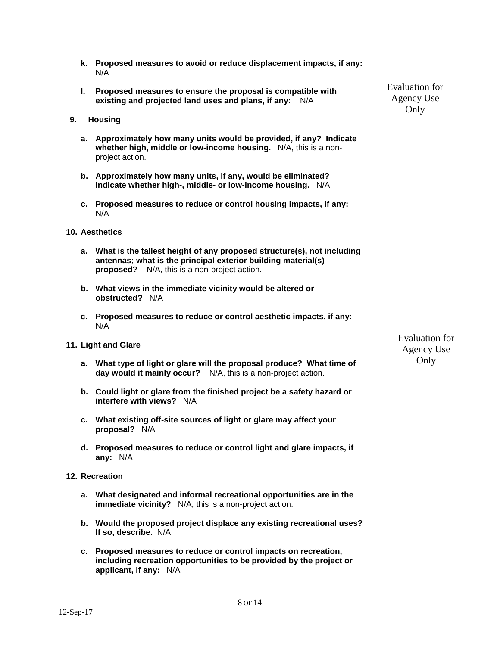- **k. Proposed measures to avoid or reduce displacement impacts, if any:**  N/A
- **l. Proposed measures to ensure the proposal is compatible with existing and projected land uses and plans, if any:** N/A
- **9. Housing**
	- **a. Approximately how many units would be provided, if any? Indicate whether high, middle or low-income housing.** N/A, this is a nonproject action.
	- **b. Approximately how many units, if any, would be eliminated? Indicate whether high-, middle- or low-income housing.** N/A
	- **c. Proposed measures to reduce or control housing impacts, if any:**  N/A

### **10. Aesthetics**

- **a. What is the tallest height of any proposed structure(s), not including antennas; what is the principal exterior building material(s) proposed?** N/A, this is a non-project action.
- **b. What views in the immediate vicinity would be altered or obstructed?** N/A
- **c. Proposed measures to reduce or control aesthetic impacts, if any:**  N/A
- **11. Light and Glare**
	- **a. What type of light or glare will the proposal produce? What time of day would it mainly occur?** N/A, this is a non-project action.
	- **b. Could light or glare from the finished project be a safety hazard or interfere with views?** N/A
	- **c. What existing off-site sources of light or glare may affect your proposal?** N/A
	- **d. Proposed measures to reduce or control light and glare impacts, if any:** N/A

### **12. Recreation**

- **a. What designated and informal recreational opportunities are in the immediate vicinity?** N/A, this is a non-project action.
- **b. Would the proposed project displace any existing recreational uses? If so, describe.** N/A
- **c. Proposed measures to reduce or control impacts on recreation, including recreation opportunities to be provided by the project or applicant, if any:** N/A

Evaluation for Agency Use Only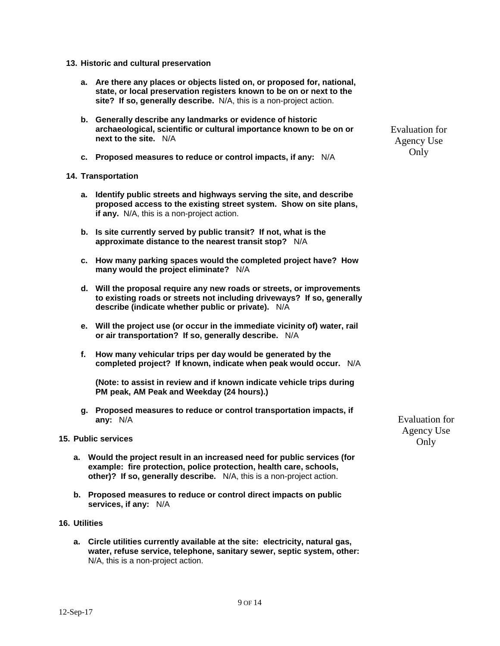- **13. Historic and cultural preservation**
	- **a. Are there any places or objects listed on, or proposed for, national, state, or local preservation registers known to be on or next to the site? If so, generally describe.** N/A, this is a non-project action.
	- **b. Generally describe any landmarks or evidence of historic archaeological, scientific or cultural importance known to be on or next to the site.** N/A
	- **c. Proposed measures to reduce or control impacts, if any:** N/A

#### **14. Transportation**

- **a. Identify public streets and highways serving the site, and describe proposed access to the existing street system. Show on site plans, if any.** N/A, this is a non-project action.
- **b. Is site currently served by public transit? If not, what is the approximate distance to the nearest transit stop?** N/A
- **c. How many parking spaces would the completed project have? How many would the project eliminate?** N/A
- **d. Will the proposal require any new roads or streets, or improvements to existing roads or streets not including driveways? If so, generally describe (indicate whether public or private).** N/A
- **e. Will the project use (or occur in the immediate vicinity of) water, rail or air transportation? If so, generally describe.** N/A
- **f. How many vehicular trips per day would be generated by the completed project? If known, indicate when peak would occur.** N/A

**(Note: to assist in review and if known indicate vehicle trips during PM peak, AM Peak and Weekday (24 hours).)**

- **g. Proposed measures to reduce or control transportation impacts, if any:** N/A
- **15. Public services**
	- **a. Would the project result in an increased need for public services (for example: fire protection, police protection, health care, schools, other)? If so, generally describe.** N/A, this is a non-project action.
	- **b. Proposed measures to reduce or control direct impacts on public services, if any:** N/A
- **16. Utilities**
	- **a. Circle utilities currently available at the site: electricity, natural gas, water, refuse service, telephone, sanitary sewer, septic system, other:**  N/A, this is a non-project action.

Evaluation for Agency Use Only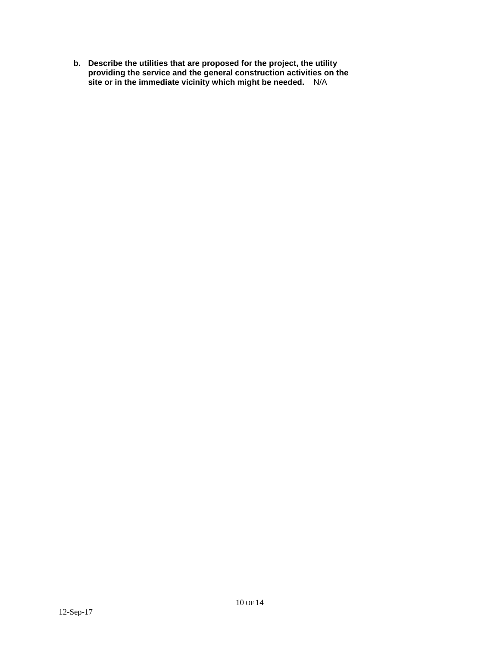**b. Describe the utilities that are proposed for the project, the utility providing the service and the general construction activities on the site or in the immediate vicinity which might be needed.** N/A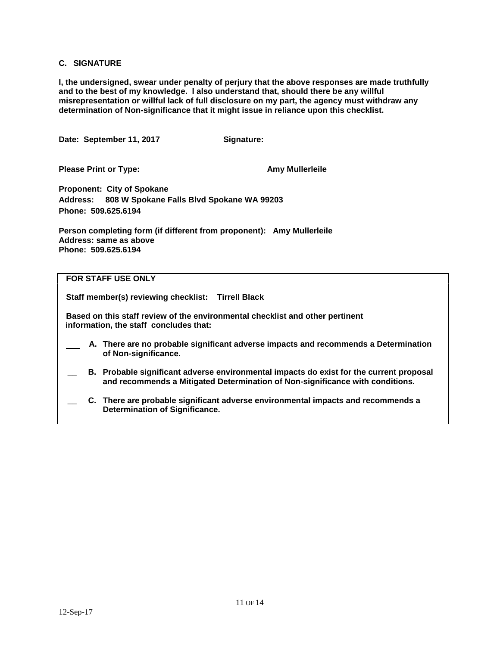## **C. SIGNATURE**

**I, the undersigned, swear under penalty of perjury that the above responses are made truthfully and to the best of my knowledge. I also understand that, should there be any willful misrepresentation or willful lack of full disclosure on my part, the agency must withdraw any determination of Non-significance that it might issue in reliance upon this checklist.**

Date: September 11, 2017 **Signature:** 

**Please Print or Type:** Amy Mullerleile

**Proponent: City of Spokane Address: 808 W Spokane Falls Blvd Spokane WA 99203 Phone: 509.625.6194**

**Person completing form (if different from proponent): Amy Mullerleile Address: same as above Phone: 509.625.6194**

# **FOR STAFF USE ONLY**

**Staff member(s) reviewing checklist: Tirrell Black**

**Based on this staff review of the environmental checklist and other pertinent information, the staff concludes that:**

- **A. There are no probable significant adverse impacts and recommends a Determination of Non-significance.**
- **\_\_ B. Probable significant adverse environmental impacts do exist for the current proposal and recommends a Mitigated Determination of Non-significance with conditions.**
	- **\_\_ C. There are probable significant adverse environmental impacts and recommends a Determination of Significance.**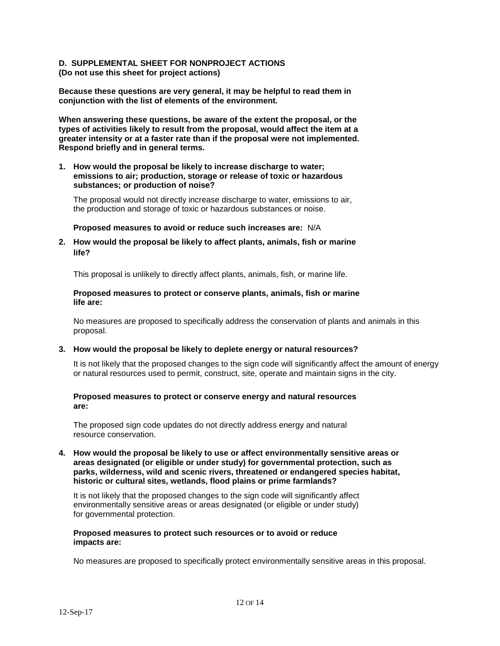### **D. SUPPLEMENTAL SHEET FOR NONPROJECT ACTIONS (Do not use this sheet for project actions)**

**Because these questions are very general, it may be helpful to read them in conjunction with the list of elements of the environment.**

**When answering these questions, be aware of the extent the proposal, or the types of activities likely to result from the proposal, would affect the item at a greater intensity or at a faster rate than if the proposal were not implemented. Respond briefly and in general terms.**

#### **1. How would the proposal be likely to increase discharge to water; emissions to air; production, storage or release of toxic or hazardous substances; or production of noise?**

The proposal would not directly increase discharge to water, emissions to air, the production and storage of toxic or hazardous substances or noise.

### **Proposed measures to avoid or reduce such increases are:** N/A

**2. How would the proposal be likely to affect plants, animals, fish or marine life?** 

This proposal is unlikely to directly affect plants, animals, fish, or marine life.

### **Proposed measures to protect or conserve plants, animals, fish or marine life are:**

No measures are proposed to specifically address the conservation of plants and animals in this proposal.

### **3. How would the proposal be likely to deplete energy or natural resources?**

It is not likely that the proposed changes to the sign code will significantly affect the amount of energy or natural resources used to permit, construct, site, operate and maintain signs in the city.

#### **Proposed measures to protect or conserve energy and natural resources are:**

The proposed sign code updates do not directly address energy and natural resource conservation.

**4. How would the proposal be likely to use or affect environmentally sensitive areas or areas designated (or eligible or under study) for governmental protection, such as parks, wilderness, wild and scenic rivers, threatened or endangered species habitat, historic or cultural sites, wetlands, flood plains or prime farmlands?**

It is not likely that the proposed changes to the sign code will significantly affect environmentally sensitive areas or areas designated (or eligible or under study) for governmental protection.

#### **Proposed measures to protect such resources or to avoid or reduce impacts are:**

No measures are proposed to specifically protect environmentally sensitive areas in this proposal.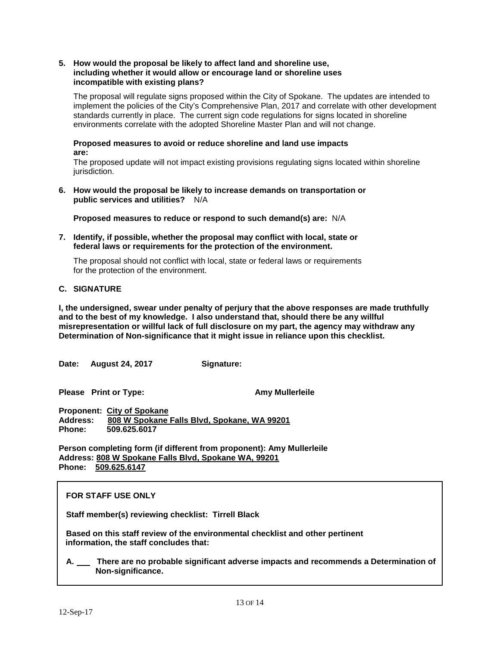### **5. How would the proposal be likely to affect land and shoreline use, including whether it would allow or encourage land or shoreline uses incompatible with existing plans?**

The proposal will regulate signs proposed within the City of Spokane. The updates are intended to implement the policies of the City's Comprehensive Plan, 2017 and correlate with other development standards currently in place. The current sign code regulations for signs located in shoreline environments correlate with the adopted Shoreline Master Plan and will not change.

### **Proposed measures to avoid or reduce shoreline and land use impacts are:**

The proposed update will not impact existing provisions regulating signs located within shoreline jurisdiction.

**6. How would the proposal be likely to increase demands on transportation or public services and utilities?** N/A

**Proposed measures to reduce or respond to such demand(s) are:** N/A

### **7. Identify, if possible, whether the proposal may conflict with local, state or federal laws or requirements for the protection of the environment.**

The proposal should not conflict with local, state or federal laws or requirements for the protection of the environment.

# **C. SIGNATURE**

**I, the undersigned, swear under penalty of perjury that the above responses are made truthfully and to the best of my knowledge. I also understand that, should there be any willful misrepresentation or willful lack of full disclosure on my part, the agency may withdraw any Determination of Non-significance that it might issue in reliance upon this checklist.**

**Date: August 24, 2017\_\_\_\_\_\_ Signature:** 

**Please Print or Type: \_\_\_\_\_\_\_\_\_\_\_\_\_\_\_\_\_\_\_ Amy Mullerleile**

**Proponent: City of Spokane Address: 808 W Spokane Falls Blvd, Spokane, WA 99201 Phone: 509.625.6017**

**Person completing form (if different from proponent): Amy Mullerleile Address: 808 W Spokane Falls Blvd, Spokane WA, 99201 Phone: 509.625.6147**

# **FOR STAFF USE ONLY**

**Staff member(s) reviewing checklist: Tirrell Black**

**Based on this staff review of the environmental checklist and other pertinent information, the staff concludes that:**

**A. There are no probable significant adverse impacts and recommends a Determination of Non-significance.**